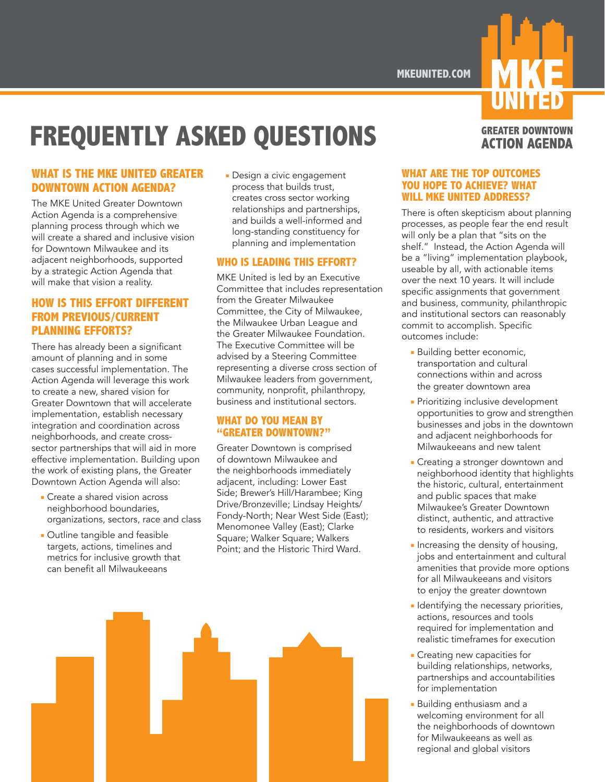**MKEUNITED.COM**

# **FREQUENTLY ASKED QUESTIONS**

### **WHAT IS THE MKE UNITED GREATER DOWNTOWN ACTION AGENDA?**

The MKE United Greater Downtown Action Agenda is a comprehensive planning process through which we will create a shared and inclusive vision for Downtown Milwaukee and its adjacent neighborhoods, supported by a strategic Action Agenda that will make that vision a reality.

## **HOW IS THIS EFFORT DIFFERENT FROM PREVIOUS/CURRENT PLANNING EFFORTS?**

There has already been a significant amount of planning and in some cases successful implementation. The Action Agenda will leverage this work to create a new, shared vision for Greater Downtown that will accelerate implementation, establish necessary integration and coordination across neighborhoods, and create crosssector partnerships that will aid in more effective implementation. Building upon the work of existing plans, the Greater Downtown Action Agenda will also:

- **■** Create a shared vision across neighborhood boundaries, organizations, sectors, race and class
- **■** Outline tangible and feasible targets, actions, timelines and metrics for inclusive growth that can benefit all Milwaukeeans

**■** Design a civic engagement process that builds trust, creates cross sector working relationships and partnerships, and builds a well-informed and long-standing constituency for planning and implementation

#### **WHO IS LEADING THIS EFFORT?**

MKE United is led by an Executive Committee that includes representation from the Greater Milwaukee Committee, the City of Milwaukee, the Milwaukee Urban League and the Greater Milwaukee Foundation. The Executive Committee will be advised by a Steering Committee representing a diverse cross section of Milwaukee leaders from government, community, nonprofit, philanthropy, business and institutional sectors.

#### **WHAT DO YOU MEAN BY "GREATER DOWNTOWN?"**

Greater Downtown is comprised of downtown Milwaukee and the neighborhoods immediately adjacent, including: Lower East Side; Brewer's Hill/Harambee; King Drive/Bronzeville; Lindsay Heights/ Fondy-North; Near West Side (East); Menomonee Valley (East); Clarke Square; Walker Square; Walkers Point; and the Historic Third Ward.



# **GREATER DOWNTOWN ACTION AGENDA**

#### **WHAT ARE THE TOP OUTCOMES YOU HOPE TO ACHIEVE? WHAT WILL MKE UNITED ADDRESS?**

There is often skepticism about planning processes, as people fear the end result will only be a plan that "sits on the shelf." Instead, the Action Agenda will be a "living" implementation playbook, useable by all, with actionable items over the next 10 years. It will include specific assignments that government and business, community, philanthropic and institutional sectors can reasonably commit to accomplish. Specific outcomes include:

- **■** Building better economic, transportation and cultural connections within and across the greater downtown area
- **■** Prioritizing inclusive development opportunities to grow and strengthen businesses and jobs in the downtown and adjacent neighborhoods for Milwaukeeans and new talent
- **■** Creating a stronger downtown and neighborhood identity that highlights the historic, cultural, entertainment and public spaces that make Milwaukee's Greater Downtown distinct, authentic, and attractive to residents, workers and visitors
- **■** Increasing the density of housing, jobs and entertainment and cultural amenities that provide more options for all Milwaukeeans and visitors to enjoy the greater downtown
- **■** Identifying the necessary priorities, actions, resources and tools required for implementation and realistic timeframes for execution
- **■** Creating new capacities for building relationships, networks, partnerships and accountabilities for implementation
- **■** Building enthusiasm and a welcoming environment for all the neighborhoods of downtown for Milwaukeeans as well as regional and global visitors